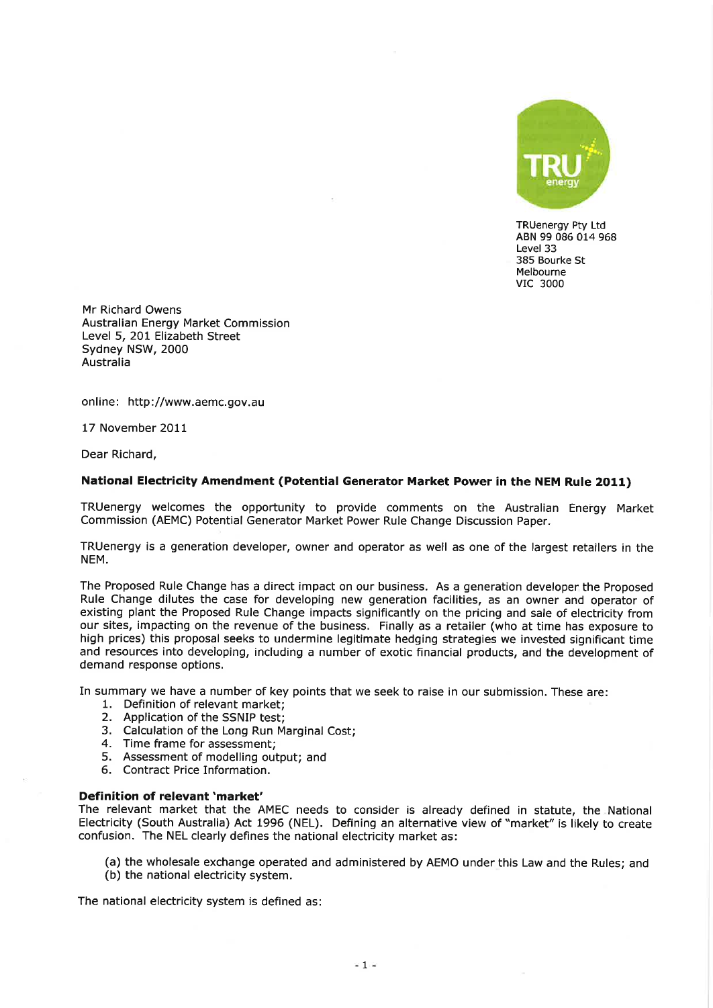

TRUenergy Pty Ltd ABN 99 086 014 968 Level 33 385 Bourke St Melbourne vrc <sup>3000</sup>

Mr Richard Owens Australian Energy Market Commission Level 5, 201 Elizabeth Street Sydney NSW,2000 Australia

online: http://www.aemc.gov.au

17 November 2011

Dear Richard,

#### National Electricity Amendment (Potential Generator Market Power in the NEM Rule 2O11)

TRUenergy welcomes the opportunity to provide comments on the Australian Energy Market Commission (AEMC) Potential Generator Market Power Rule Change Discussion Paper.

TRUenergy is a generation developer, owner and operator as well as one of the largest retailers in the NEM.

The Proposed Rule Change has a direct impact on our business. As a generation developer the Proposed Rule Change dilutes the case for developing new generation facilities, as an owner and operator of existing plant the Proposed Rule Change impacts significantly on the pricing and sale of electricity from our sites, impacting on the revenue of the business. Finally as a retailer (who at time has exposure to high prices) this proposal seeks to undermine legitimate hedging strategies we invested significant time and resources into developing, including a number of exotic financial products, and the development of demand response options.

In summary we have a number of key points that we seek to raise in our submission. These are: 1. Definition of relevant market;

- 
- 2. Application of the SSNIP test;
- 3. Calculation of the Long Run Marginal Cost; 4. Time frame for assessment;
- 
- 5. Assessment of modelling output; and 6. Contract Price Information.
- 

## Definition of relevant 'market'

The relevant market that the AMEC needs to consider is already defined in statute, the National Electricity (South Australia) Act 1996 (NEL). Defining an alternative view of "market" is likely to create confusion. The NEL clearly defines the national electricity market as:

(a) the wholesale exchange operated and administered by AEMO under this Law and the Rules; and (b) the national electricity system.

The national electricity system is defined as: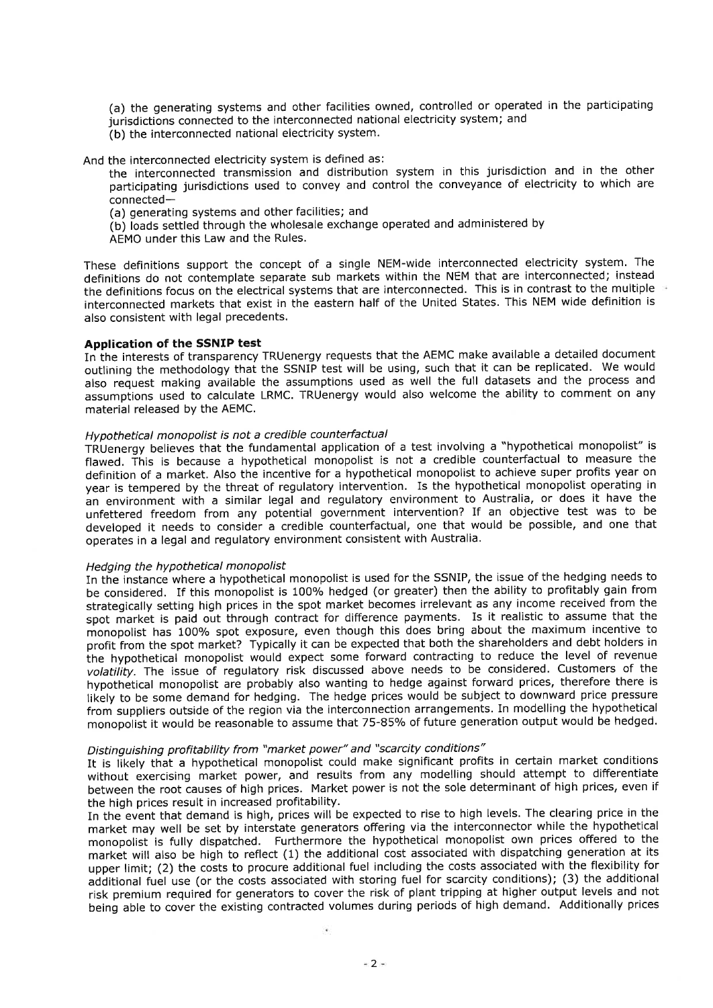(a) the generating systems and other facilities owned, controlled or operated in the pafticipating jurisdictions connected to the interconnected national electricity system; and

(b) the interconnected national electricity system.

And the interconnected electricity system is defined as:

the interconnected transmission and distribution system in this jurisdiction and in the other participating jurisdictions used to convey and control the conveyance of electricity to which are connected-

- (a) generating systems and other facilities; and
- (b) loads settled through the wholesale exchange operated and administered by
- AEMO under this Law and the Rules.

These definitions support the concept of a single NEM-wide interconnected electricity system. The definitions do not contemplate separate sub markets within the NEM that are interconnected; instead the definitions focus on the electrical systems that are interconnected. This is in contrast to the multiple interconnected markets that exist in the eastern half of the United States. This NEM wide definition is also consistent with legal precedents.

## Application of the SSNIP test

In the interests of transparency TRUenergy requests that the AEMC make available a detailed document outlining the methodology that the SSNIP test will be using, such that it can be replicated. We would also request making available the assumptions used as well the full datasets and the process and assumptions used to calculate LRMC. TRUenergy would also welcome the ability to comment on any material released bY the AEMC.

# Hypothetical monopolist is not a credible counterfactual

TRUenergy believes that the fundamental application of a test involving a "hypothetical monopolist" is flawed. This is because a hypothetical monopolist is not a credible counterfactual to measure the definition of a market. Also the incentive for a hypothetical monopolist to achieve super profits year on year is tempered by the threat of regulatory intervention. Is the hypothetical monopolist operating in an environment with a similar legal and regulatory environment to Australia, or does it have the unfettered freedom from any potential government intervention? If an objective test was to be developed it needs to consider a credible counterfactual, one that would be possible, and one that operates in a legal and regulatory environment consistent with Australia.

# Hedging the hypothetical monopolist

In the instance where a hypothetical monopolist is used for the SSNIP, the issue of the hedging needs to be considered. If this monopolist is 100% hedged (or greater) then the ability to profitably gain from strategically setting high prices in the spot market becomes irrelevant as any income received from the spot market is paid out through contract for difference payments. Is it realistic to assume that the monopolist has 100% spot exposure, even though this does bring about the maximum incentive to profit from the spot market? Typically it can be expected that both the shareholders and debt holders in the hypothetical monopolist would expect some forward contracting to reduce the level of revenue volatility. The issue of regulatory risk discussed above needs to be considered. Customers of the hypothetical monopolist are probably also wanting to hedge against forward prices, therefore there is likely to be some demand for hedging. The hedge prices would be subject to downward price pressure from suppliers outside of the region via the interconnection arrangements. In modelling the hypothetical monopolist it would be reasonable to assume that 75-85% of future generation output would be hedged.

## Distinguishing profitability from "market power" and "scarcity conditions"

It is likely that a hypothetical monopolist could make significant profits in certain market conditions without exercising market power, and results from any modelling should attempt to differentiate between the root causes of high prices. Market power is not the sole determinant of high prices, even if the high prices result in increased profitability.

In the event that demand is high, prices will be expected to rise to high levels. The clearing price in the market may well be set by interstate generators oftering via the interconnector while the hypothetical monopolist is fully dispatched. Furthermore the hypothetical monopolist own prices offered to the market will also be high to reflect (1) the additional cost associated with dispatching generation at its upper limit; (2) the costs to procure additional fuel including the costs associated with the flexibility for additional fuel use (or the costs associated with storing fuel for scarcity conditions); (3) the additional risk premium required for generators to cover the risk of plant tripping at higher output levels and not being able to cover the existing contracted volumes during periods of high demand. Additionally prices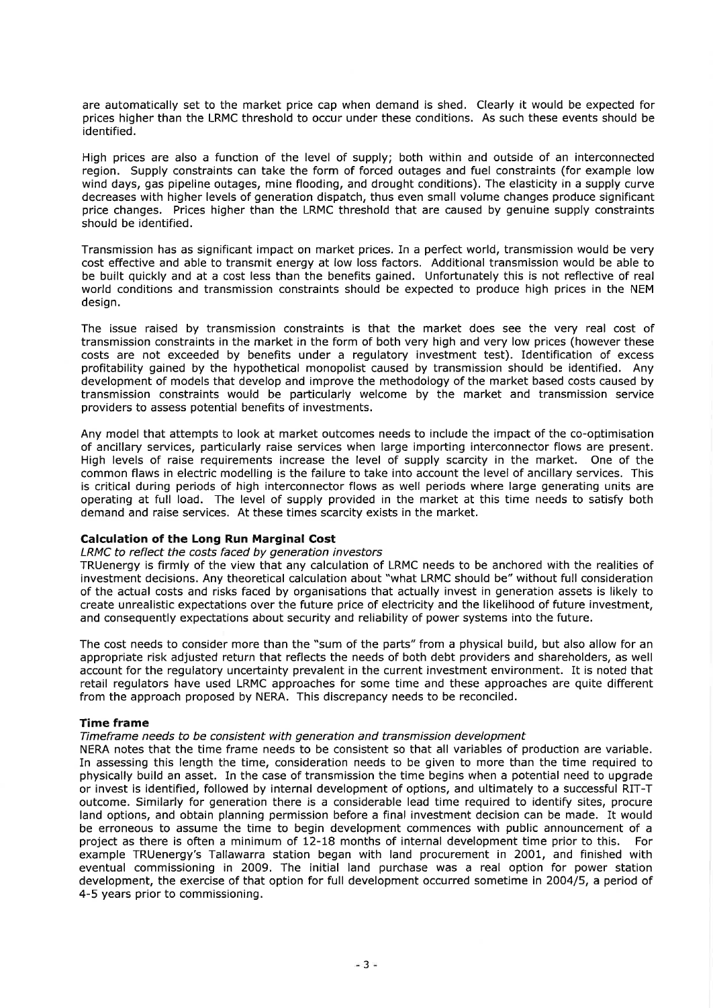are automatically set to the market price cap when demand is shed. Clearly it would be expected for prices higher than the LRMC threshold to occur under these conditions. As such these events should be identified.

High prices are also a function of the level of supply; both within and outside of an interconnected region. Supply constraints can take the form of forced outages and fuel constraints (for example low wind days, gas pipeline outages, mine flooding, and drought conditions). The elasticity in a supply curve decreases with higher levels of generation dispatch, thus even small volume changes produce significant price changes. Prices higher than the LRMC threshold that are caused by genuine supply constraints should be identified.

Transmission has as significant impact on market prices. In a perfect world, transmission would be very cost effective and able to transmit energy at low loss factors. Additional transmission would be able to be built quickly and at a cost less than the benefits gained. Unfortunately this is not reflective of real world conditions and transmission constraints should be expected to produce high prices in the NEM design.

The issue raised by transmission constraints is that the market does see the very real cost of transmission constraints in the market in the form of both very high and very low prices (however these costs are not exceeded by benefits under a regulatory investment test). Identification of excess profitability gained by the hypothetical monopolist caused by transmission should be identified. Any development of models that develop and improve the methodology of the market based costs caused by transmission constraints would be particularly welcome by the market and transmission service providers to assess potential benefits of investments.

Any model that attempts to look at market outcomes needs to include the impact of the co-optimisation of ancillary services, particularly raise services when large impofting interconnector flows are present. High levels of raise requirements increase the level of supply scarcity in the market. One of the common flaws in electric modelling is the failure to take into account the level of ancillary services. This is critical during periods of high interconnector flows as well periods where large generating units are operating at full load. The level of supply provided in the market at this time needs to satisfy both demand and raise services. At these times scarcity exists in the market.

## Calculation of the Long Run Marginal Gost

### LRMC to reflect the costs faced by generation investors

TRUenergy is firmly of the view that any calculation of LRMC needs to be anchored with the realities of investment decisions. Any theoretical calculation about "what LRMC should be" without full consideration of the actual costs and risks faced by organisations that actually invest in generation assets is likely to create unrealistic expectations over the future price of electricity and the likelihood of future investment, and consequently expectations about security and reliability of power systems into the future.

The cost needs to consider more than the "sum of the parts" from a physical build, but also allow for an appropriate risk adjusted return that reflects the needs of both debt providers and shareholders, as well account for the regulatory unceftainty prevalent in the current investment environment. It is noted that retail regulators have used LRMC approaches for some time and these approaches are quite different from the approach proposed by NERA. This discrepancy needs to be reconciled.

### Time frame

## Timeframe needs to be consistent with generation and transmission development

NERA notes that the time frame needs to be consistent so that all variables of production are variable. In assessing this length the time, consideration needs to be given to more than the time required to physically build an asset. In the case of transmission the time begins when a potential need to upgrade or invest is identified, followed by internal development of options, and ultimately to a successful RIT-T outcome. Similarly for generation there is a considerable lead time required to identify sites, procure land options, and obtain planning permission before a final investment decision can be made. It would be erroneous to assume the time to begin development commences with public announcement of a project as there is often a minimum of 12-18 months of internal development time prior to this. For project as there is often a minimum of 12-18 months of internal development time prior to this. example TRUenergy's Tallawarra station began with land procurement in 2001, and finished with eventual commissioning in 2009. The initial land purchase was a real option for power station development, the exercise of that option for full development occurred sometime in 2OO4/5, a period of 4-5 years prior to commissioning.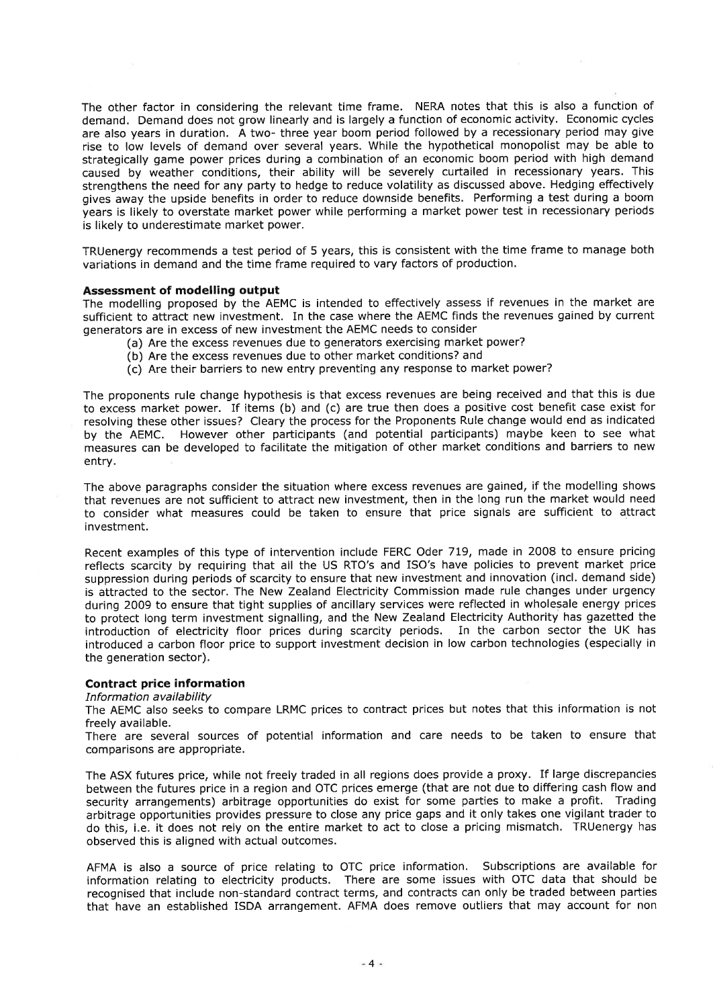The other factor in considering the relevant time frame. NERA notes that this is also a function of demand. Demand does not grow linearly and is largely a function of economic activity. Economic cycles are also years in duration. A two- three year boom period followed by a recessionary period may give rise to low levels of demand over several years. While the hypothetical monopolist may be able to strategically game power prices during a combination of an economic boom period with high demand caused by weather conditions, their ability will be severely curtailed in recessionary years. This strengthens the need for any party to hedge to reduce volatility as discussed above. Hedging effectively gives away the upside benefits in order to reduce downside benefits. Performing a test during a boom years is likely to overstate market power while performing a market power test in recessionary periods is likely to underestimate market power.

TRUenergy recommends a test period of 5 years, this is consistent with the time frame to manage both variations in demand and the time frame required to vary factors of production.

## Assessment of modelling output

The modelling proposed by the AEMC is intended to effectively assess if revenues in the market are sufficient to attract new investment. In the case where the AEMC finds the revenues gained by current generators are in excess of new investment the AEMC needs to consider

- (a) Are the excess revenues due to generators exercising market power?
- (b) Are the excess revenues due to other market conditions? and
- (c) Are their barriers to new entry preventing any response to market power?

The proponents rule change hypothesis is that excess revenues are being received and that this is due to excess market power. If items (b) and (c) are true then does a positive cost benefit case exist for resolving these other issues? Cleary the process for the Proponents Rule change would end as indicated by the AEMC. However other participants (and potential participants) maybe keen to see what measures can be developed to facilitate the mitigation of other market conditions and barriers to new entry.

The above paragraphs consider the situation where excess revenues are gained, if the modelling shows that revenues are not sufficient to attract new investment, then in the long run the market would need to consider what measures could be taken to ensure that price signals are sufficient to attract investment.

Recent examples of this type of intervention include FERC Oder 719, made in 2008 to ensure pricing reflects scarcity by requiring that all the US RTO's and ISO's have policies to prevent market price suppression during periods of scarcity to ensure that new investment and innovation (incl. demand side) is attracted to the sector. The New Zealand Electricity Commission made rule changes under urgency during 2009 to ensure that tight supplies of ancillary services were reflected in wholesale energy prices to protect long term investment signalling, and the New Zealand Electricity Authority has gazetted the introduction of electricity floor prices during scarcity periods. In the carbon sector the UK has introduced a carbon floor price to support investment decision in low carbon technologies (especially in the generation sector).

## Contract price information

Information availability

The AEMC also seeks to compare LRMC prices to contract prices but notes that this information is not freely available.

There are several sources of potential information and care needs to be taken to ensure that comparisons are appropriate.

The ASX futures price, while not freely traded in all regions does provide a proxy. If large discrepancies between the futures price in a region and OTC prices emerge (that are not due to difFering cash flow and security arrangements) arbitrage opportunities do exist for some parties to make a profit. Trading arbitrage opportunities provides pressure to close any price gaps and it only takes one vigilant trader to do this, i.e. it does not rely on the entire market to act to close a pricing mismatch. TRUenergy has observed this is aligned with actual outcomes.

AFMA is also a source of price relating to OTC price information. Subscriptions are available for information relating to electricity products. There are some issues with OTC data that should be recognised that include non-standard contract terms, and contracts can only be traded between parties that have an established ISDA arrangement. AFMA does remove outliers that may account for non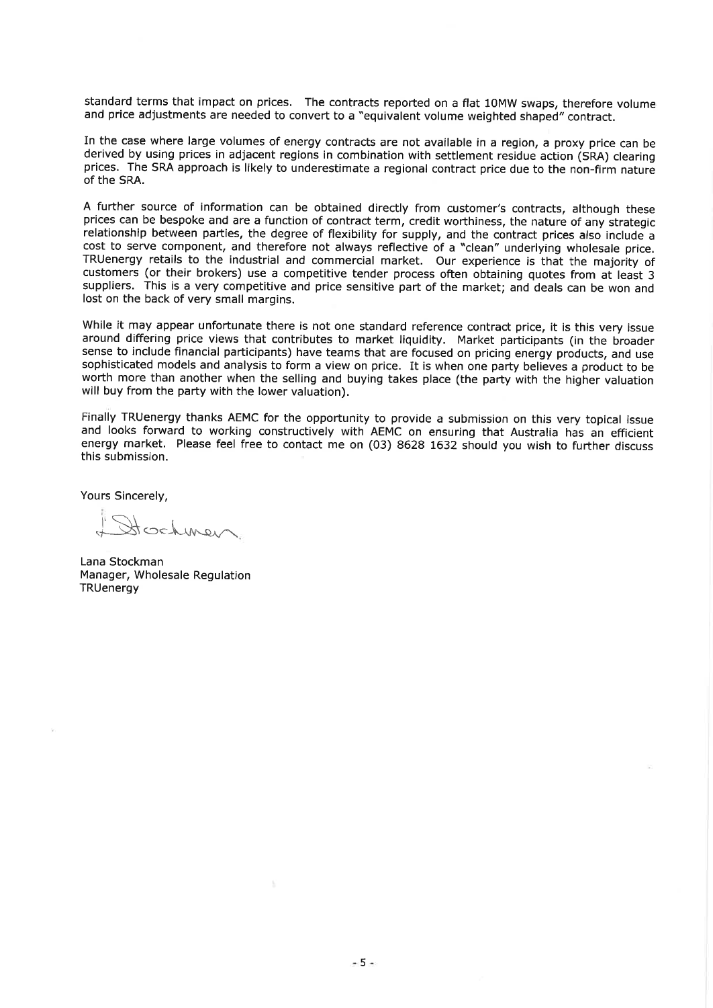standard terms that impact on prices. The contracts reported on a flat 1OMW swaps, therefore volume and price adjustments are needed to convert to a "equivalent volume weighted shaped" contract.

In the case where large volumes of energy contracts are not available in a region, a proxy price can be derived by using prices in adjacent regions in combination with settlement residue action (SRA) clearing prices. The SRA approach is likely to underestimate a regional contract price due to the non-firm naturè of the SRA.

A further source of information can be obtained directly from customer's contracts, although these prices can be bespoke and are a function of contract term, credit worthiness, the nature of any strategic relationship between parties, the degree of flexibility for supply, and the contract prices also include a cost to serve component, and therefore not always reflective of a "clean" underlying wholesale price. TRUenergy retails to the industrial and commercial market. Our experience is that the majority of customers (or their brokers) use a competitive tender process often obtaining quotes from at least <sup>3</sup> suppliers. This is a very competitive and price sensitive part of the market; and deals can be won and lost on the back of very small margins.

While it may appear unfortunate there is not one standard reference contract price, it is this very issue around differing price views that contributes to market liquidity. Market participants (in the broader sense to include financial participants) have teams that are focused on pricing energy products, and use sophisticated models and analysis to form a view on price. It is when one party believes a product to be worth more than another when the selling and buying takes place (the party with the higher valuation will buy from the party with the lower valuation).

Finally TRUenergy thanks AEMC for the opportunity to provide a submission on this very topical issue and looks forward to working constructively with AEMC on ensuring that Australia has an efficient energy market. Please feel free to contact me on (03) 8628 1632 should you wish to fufther discuss this submission.

Yours Sincerely,

 $J=$ 

Lana Stockman Manager, Wholesale Regulation **TRUenergy**